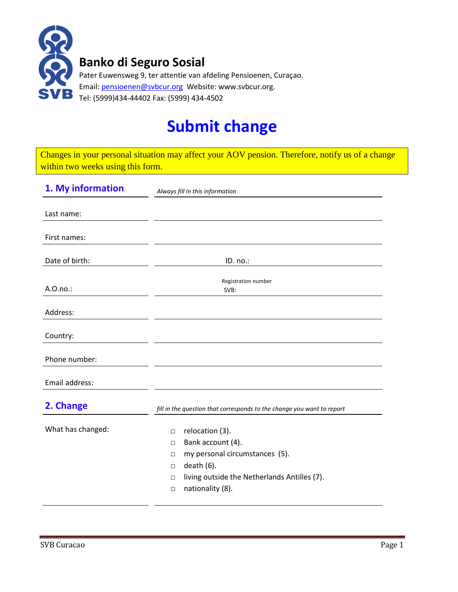

## **Submit change**

Changes in your personal situation may affect your AOV pension. Therefore, notify us of a change within two weeks using this form.

| 1. My information | Always fill in this information                                        |  |  |
|-------------------|------------------------------------------------------------------------|--|--|
|                   |                                                                        |  |  |
| Last name:        |                                                                        |  |  |
| First names:      |                                                                        |  |  |
| Date of birth:    | ID. no.:                                                               |  |  |
|                   |                                                                        |  |  |
| A.O.no.:          | Registration number<br>SVB:                                            |  |  |
|                   |                                                                        |  |  |
| Address:          |                                                                        |  |  |
| Country:          |                                                                        |  |  |
| Phone number:     |                                                                        |  |  |
| Email address:    |                                                                        |  |  |
|                   |                                                                        |  |  |
| 2. Change         | fill in the question that corresponds to the change you want to report |  |  |
|                   |                                                                        |  |  |
| What has changed: | relocation (3).<br>$\Box$                                              |  |  |
|                   | Bank account (4).<br>$\Box$                                            |  |  |
|                   | my personal circumstances (5).<br>$\Box$                               |  |  |
|                   | $death(6)$ .<br>$\Box$                                                 |  |  |
|                   | living outside the Netherlands Antilles (7).<br>$\Box$                 |  |  |
|                   | nationality (8).<br>$\Box$                                             |  |  |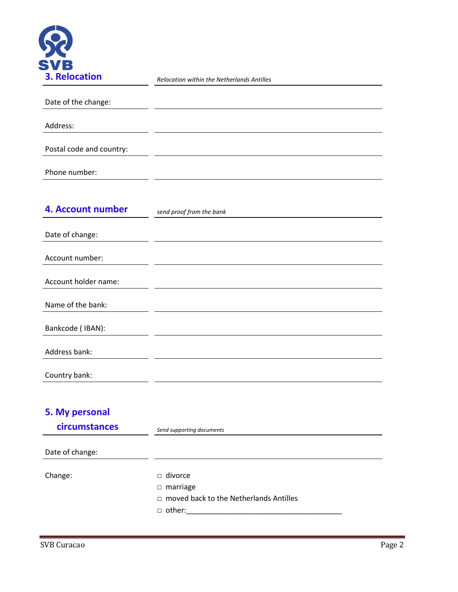

|  | Relocation within the Netherlands Antilles |  |
|--|--------------------------------------------|--|

| Date of the change:      |  |  |
|--------------------------|--|--|
| Address:                 |  |  |
| Postal code and country: |  |  |
| Phone number:            |  |  |

| 4. Account number    | send proof from the bank |
|----------------------|--------------------------|
|                      |                          |
| Date of change:      |                          |
| Account number:      |                          |
|                      |                          |
| Account holder name: |                          |
| Name of the bank:    |                          |
| Bankcode (IBAN):     |                          |
| Address bank:        |                          |
| Country bank:        |                          |

## **5. My personal**

| circumstances   | Send supporting documents                                                                           |  |
|-----------------|-----------------------------------------------------------------------------------------------------|--|
| Date of change: |                                                                                                     |  |
| Change:         | $\Box$ divorce<br>$\Box$ marriage<br>$\Box$ moved back to the Netherlands Antilles<br>$\Box$ other: |  |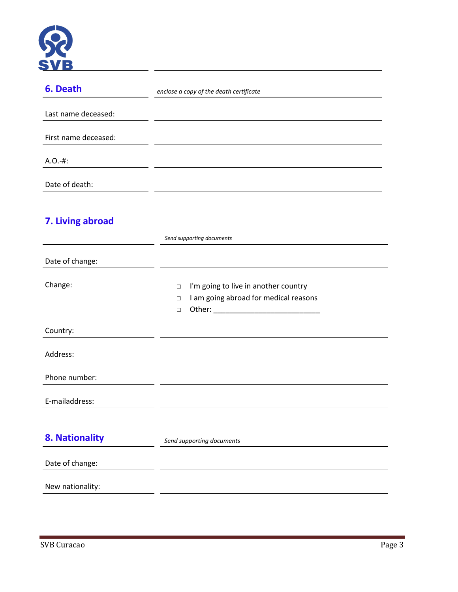

| 6. Death             | enclose a copy of the death certificate                                                                          |  |
|----------------------|------------------------------------------------------------------------------------------------------------------|--|
| Last name deceased:  |                                                                                                                  |  |
| First name deceased: |                                                                                                                  |  |
| $A.O.-#:$            |                                                                                                                  |  |
| Date of death:       |                                                                                                                  |  |
| 7. Living abroad     | Send supporting documents                                                                                        |  |
| Date of change:      |                                                                                                                  |  |
| Change:              | I'm going to live in another country<br>$\Box$<br>I am going abroad for medical reasons<br>$\Box$<br>Other:<br>П |  |

Country:

| ,              |                           |
|----------------|---------------------------|
| Address:       |                           |
| Phone number:  |                           |
| E-mailaddress: |                           |
| 8. Nationality | Send supporting documents |

Date of change:

New nationality: